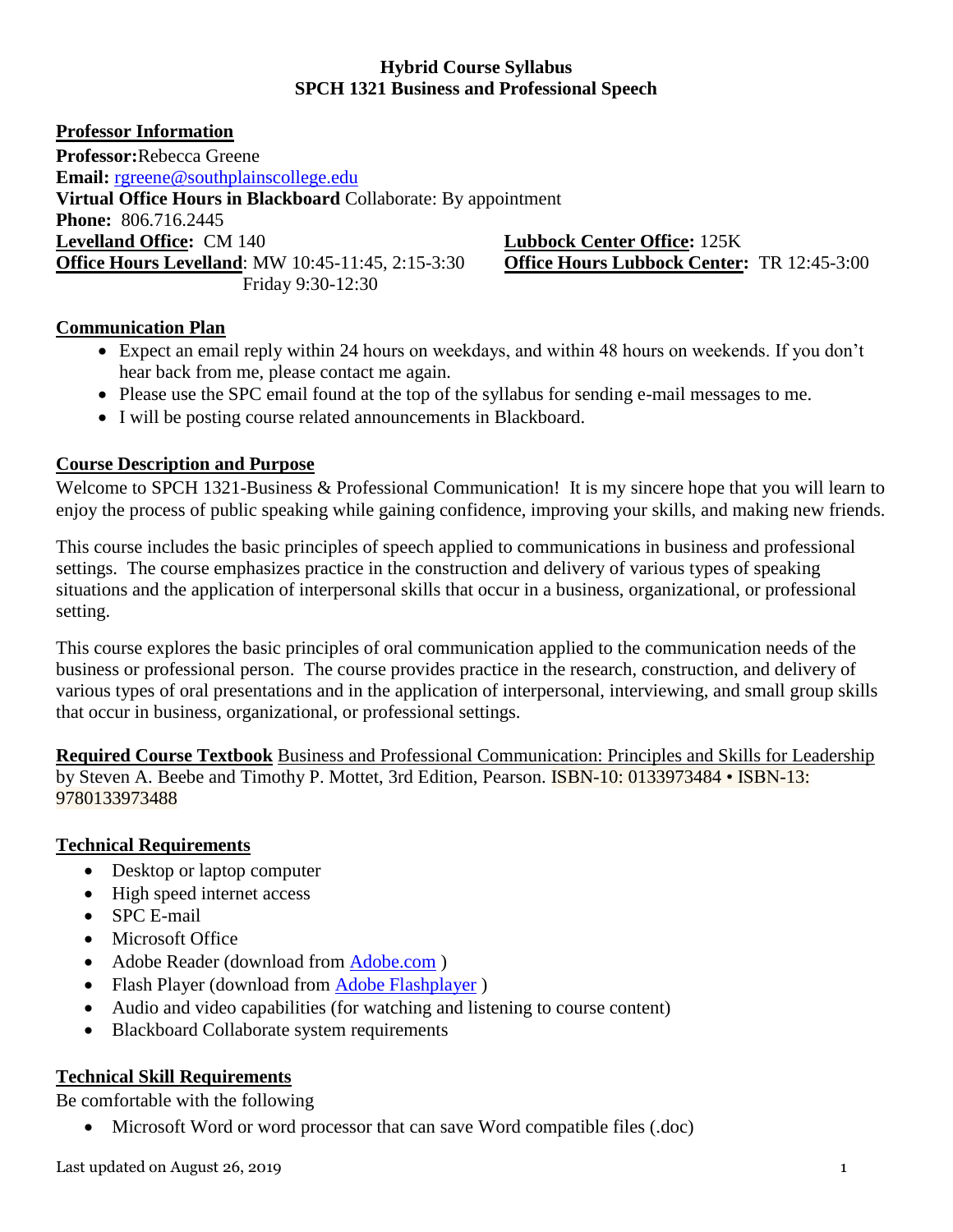## **Hybrid Course Syllabus SPCH 1321 Business and Professional Speech**

**Professor Information Professor:**Rebecca Greene **Email:** [rgreene@southplainscollege.edu](file:///C:/Users/rgreene/Downloads/rgreene@southplainscollege.edu) **Virtual Office Hours in Blackboard** Collaborate: By appointment **Phone:** 806.716.2445 **Levelland Office:** CM 140 **Lubbock Center Office:** 125K **Office Hours Levelland**: MW 10:45-11:45, 2:15-3:30 **Office Hours Lubbock Center:** TR 12:45-3:00 Friday 9:30-12:30

## **Communication Plan**

- Expect an email reply within 24 hours on weekdays, and within 48 hours on weekends. If you don't hear back from me, please contact me again.
- Please use the SPC email found at the top of the syllabus for sending e-mail messages to me.
- I will be posting course related announcements in Blackboard.

## **Course Description and Purpose**

Welcome to SPCH 1321-Business & Professional Communication! It is my sincere hope that you will learn to enjoy the process of public speaking while gaining confidence, improving your skills, and making new friends.

This course includes the basic principles of speech applied to communications in business and professional settings. The course emphasizes practice in the construction and delivery of various types of speaking situations and the application of interpersonal skills that occur in a business, organizational, or professional setting.

This course explores the basic principles of oral communication applied to the communication needs of the business or professional person. The course provides practice in the research, construction, and delivery of various types of oral presentations and in the application of interpersonal, interviewing, and small group skills that occur in business, organizational, or professional settings.

**Required Course Textbook** Business and Professional Communication: Principles and Skills for Leadership by Steven A. Beebe and Timothy P. Mottet, 3rd Edition, Pearson. **ISBN-10: 0133973484 • ISBN-13:** 9780133973488

## **Technical Requirements**

- Desktop or laptop computer
- High speed internet access
- SPC E-mail
- Microsoft Office
- Adobe Reader (download from [Adobe.com](http://get.adobe.com/reader))
- Flash Player (download from [Adobe Flashplayer](http://get.adobe.com/flashplayer/))
- Audio and video capabilities (for watching and listening to course content)
- Blackboard Collaborate system requirements

# **Technical Skill Requirements**

Be comfortable with the following

Microsoft Word or word processor that can save Word compatible files (.doc)

Last updated on August 26, 2019 1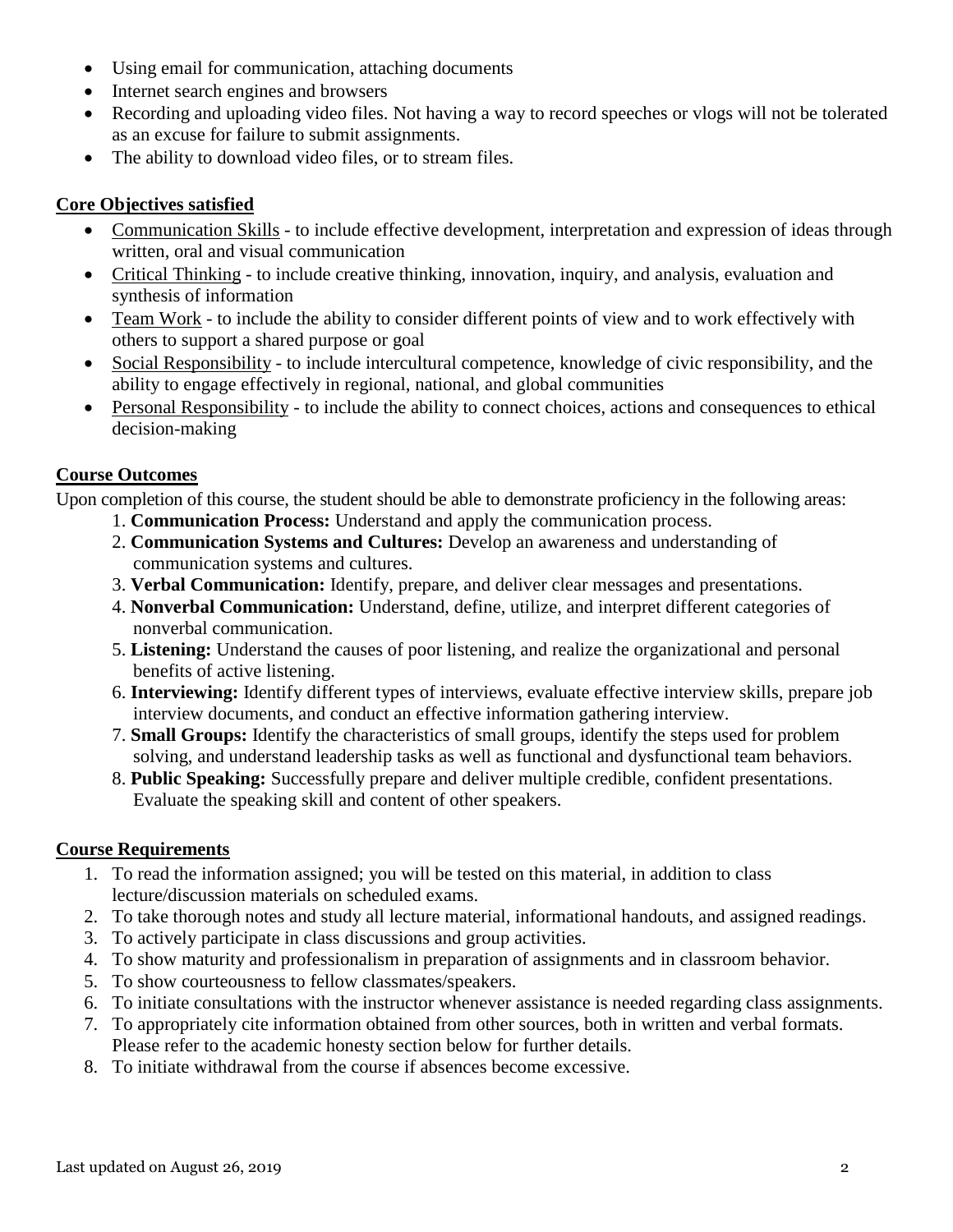- Using email for communication, attaching documents
- Internet search engines and browsers
- Recording and uploading video files. Not having a way to record speeches or vlogs will not be tolerated as an excuse for failure to submit assignments.
- The ability to download video files, or to stream files.

# **Core Objectives satisfied**

- Communication Skills to include effective development, interpretation and expression of ideas through written, oral and visual communication
- Critical Thinking to include creative thinking, innovation, inquiry, and analysis, evaluation and synthesis of information
- Team Work to include the ability to consider different points of view and to work effectively with others to support a shared purpose or goal
- Social Responsibility to include intercultural competence, knowledge of civic responsibility, and the ability to engage effectively in regional, national, and global communities
- Personal Responsibility to include the ability to connect choices, actions and consequences to ethical decision-making

## **Course Outcomes**

Upon completion of this course, the student should be able to demonstrate proficiency in the following areas:

- 1. **Communication Process:** Understand and apply the communication process.
- 2. **Communication Systems and Cultures:** Develop an awareness and understanding of communication systems and cultures.
- 3. **Verbal Communication:** Identify, prepare, and deliver clear messages and presentations.
- 4. **Nonverbal Communication:** Understand, define, utilize, and interpret different categories of nonverbal communication.
- 5. **Listening:** Understand the causes of poor listening, and realize the organizational and personal benefits of active listening.
- 6. **Interviewing:** Identify different types of interviews, evaluate effective interview skills, prepare job interview documents, and conduct an effective information gathering interview.
- 7. **Small Groups:** Identify the characteristics of small groups, identify the steps used for problem solving, and understand leadership tasks as well as functional and dysfunctional team behaviors.
- 8. **Public Speaking:** Successfully prepare and deliver multiple credible, confident presentations. Evaluate the speaking skill and content of other speakers.

# **Course Requirements**

- 1. To read the information assigned; you will be tested on this material, in addition to class lecture/discussion materials on scheduled exams.
- 2. To take thorough notes and study all lecture material, informational handouts, and assigned readings.
- 3. To actively participate in class discussions and group activities.
- 4. To show maturity and professionalism in preparation of assignments and in classroom behavior.
- 5. To show courteousness to fellow classmates/speakers.
- 6. To initiate consultations with the instructor whenever assistance is needed regarding class assignments.
- 7. To appropriately cite information obtained from other sources, both in written and verbal formats. Please refer to the academic honesty section below for further details.
- 8. To initiate withdrawal from the course if absences become excessive.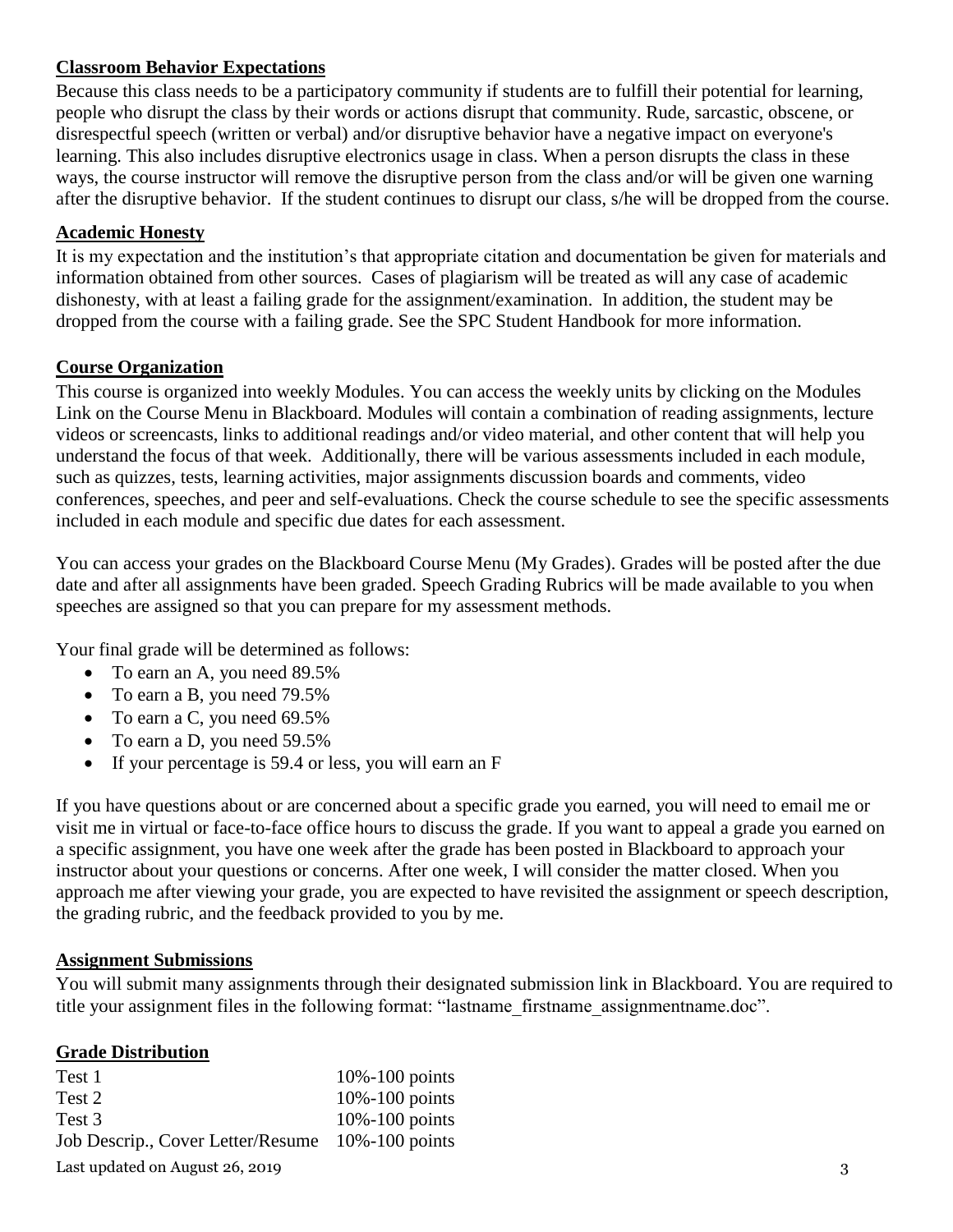## **Classroom Behavior Expectations**

Because this class needs to be a participatory community if students are to fulfill their potential for learning, people who disrupt the class by their words or actions disrupt that community. Rude, sarcastic, obscene, or disrespectful speech (written or verbal) and/or disruptive behavior have a negative impact on everyone's learning. This also includes disruptive electronics usage in class. When a person disrupts the class in these ways, the course instructor will remove the disruptive person from the class and/or will be given one warning after the disruptive behavior. If the student continues to disrupt our class, s/he will be dropped from the course.

### **Academic Honesty**

It is my expectation and the institution's that appropriate citation and documentation be given for materials and information obtained from other sources. Cases of plagiarism will be treated as will any case of academic dishonesty, with at least a failing grade for the assignment/examination. In addition, the student may be dropped from the course with a failing grade. See the SPC Student Handbook for more information.

#### **Course Organization**

This course is organized into weekly Modules. You can access the weekly units by clicking on the Modules Link on the Course Menu in Blackboard. Modules will contain a combination of reading assignments, lecture videos or screencasts, links to additional readings and/or video material, and other content that will help you understand the focus of that week. Additionally, there will be various assessments included in each module, such as quizzes, tests, learning activities, major assignments discussion boards and comments, video conferences, speeches, and peer and self-evaluations. Check the course schedule to see the specific assessments included in each module and specific due dates for each assessment.

You can access your grades on the Blackboard Course Menu (My Grades). Grades will be posted after the due date and after all assignments have been graded. Speech Grading Rubrics will be made available to you when speeches are assigned so that you can prepare for my assessment methods.

Your final grade will be determined as follows:

- To earn an A, you need 89.5%
- To earn a B, you need 79.5%
- To earn a C, you need 69.5%
- To earn a D, you need 59.5%
- If your percentage is 59.4 or less, you will earn an F

If you have questions about or are concerned about a specific grade you earned, you will need to email me or visit me in virtual or face-to-face office hours to discuss the grade. If you want to appeal a grade you earned on a specific assignment, you have one week after the grade has been posted in Blackboard to approach your instructor about your questions or concerns. After one week, I will consider the matter closed. When you approach me after viewing your grade, you are expected to have revisited the assignment or speech description, the grading rubric, and the feedback provided to you by me.

#### **Assignment Submissions**

You will submit many assignments through their designated submission link in Blackboard. You are required to title your assignment files in the following format: "lastname\_firstname\_assignmentname.doc".

#### **Grade Distribution**

| Test 1                                           | $10\% - 100$ points |   |
|--------------------------------------------------|---------------------|---|
| Test 2                                           | $10\% - 100$ points |   |
| Test 3                                           | $10\% - 100$ points |   |
| Job Descrip., Cover Letter/Resume 10%-100 points |                     |   |
| Last updated on August 26, 2019                  |                     | 3 |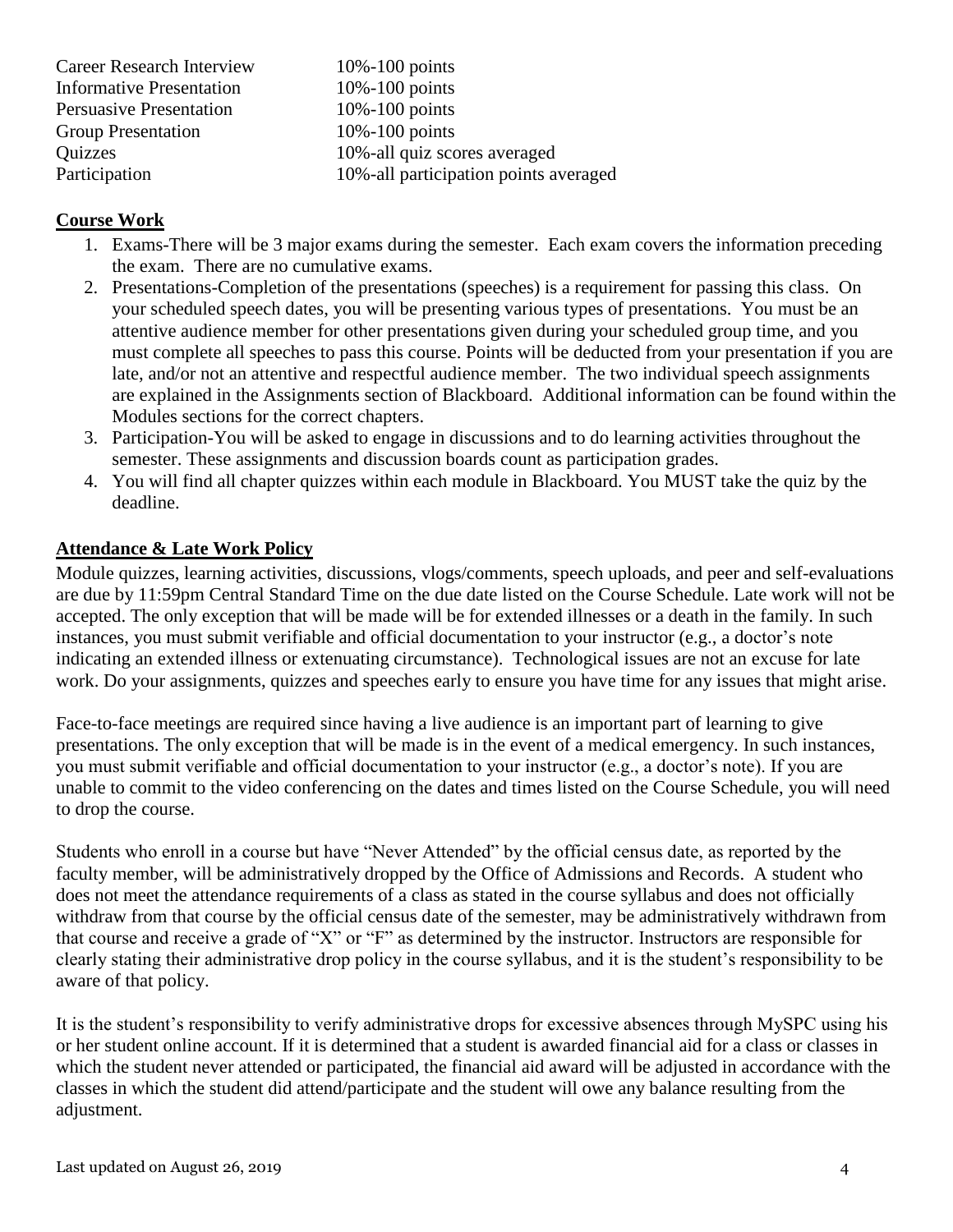Career Research Interview 10%-100 points Informative Presentation 10%-100 points Persuasive Presentation 10%-100 points Group Presentation 10%-100 points Quizzes 10%-all quiz scores averaged Participation 10%-all participation points averaged

## **Course Work**

- 1. Exams-There will be 3 major exams during the semester. Each exam covers the information preceding the exam. There are no cumulative exams.
- 2. Presentations-Completion of the presentations (speeches) is a requirement for passing this class. On your scheduled speech dates, you will be presenting various types of presentations. You must be an attentive audience member for other presentations given during your scheduled group time, and you must complete all speeches to pass this course. Points will be deducted from your presentation if you are late, and/or not an attentive and respectful audience member. The two individual speech assignments are explained in the Assignments section of Blackboard. Additional information can be found within the Modules sections for the correct chapters.
- 3. Participation-You will be asked to engage in discussions and to do learning activities throughout the semester. These assignments and discussion boards count as participation grades.
- 4. You will find all chapter quizzes within each module in Blackboard. You MUST take the quiz by the deadline.

## **Attendance & Late Work Policy**

Module quizzes, learning activities, discussions, vlogs/comments, speech uploads, and peer and self-evaluations are due by 11:59pm Central Standard Time on the due date listed on the Course Schedule. Late work will not be accepted. The only exception that will be made will be for extended illnesses or a death in the family. In such instances, you must submit verifiable and official documentation to your instructor (e.g., a doctor's note indicating an extended illness or extenuating circumstance). Technological issues are not an excuse for late work. Do your assignments, quizzes and speeches early to ensure you have time for any issues that might arise.

Face-to-face meetings are required since having a live audience is an important part of learning to give presentations. The only exception that will be made is in the event of a medical emergency. In such instances, you must submit verifiable and official documentation to your instructor (e.g., a doctor's note). If you are unable to commit to the video conferencing on the dates and times listed on the Course Schedule, you will need to drop the course.

Students who enroll in a course but have "Never Attended" by the official census date, as reported by the faculty member, will be administratively dropped by the Office of Admissions and Records. A student who does not meet the attendance requirements of a class as stated in the course syllabus and does not officially withdraw from that course by the official census date of the semester, may be administratively withdrawn from that course and receive a grade of "X" or "F" as determined by the instructor. Instructors are responsible for clearly stating their administrative drop policy in the course syllabus, and it is the student's responsibility to be aware of that policy.

It is the student's responsibility to verify administrative drops for excessive absences through MySPC using his or her student online account. If it is determined that a student is awarded financial aid for a class or classes in which the student never attended or participated, the financial aid award will be adjusted in accordance with the classes in which the student did attend/participate and the student will owe any balance resulting from the adjustment.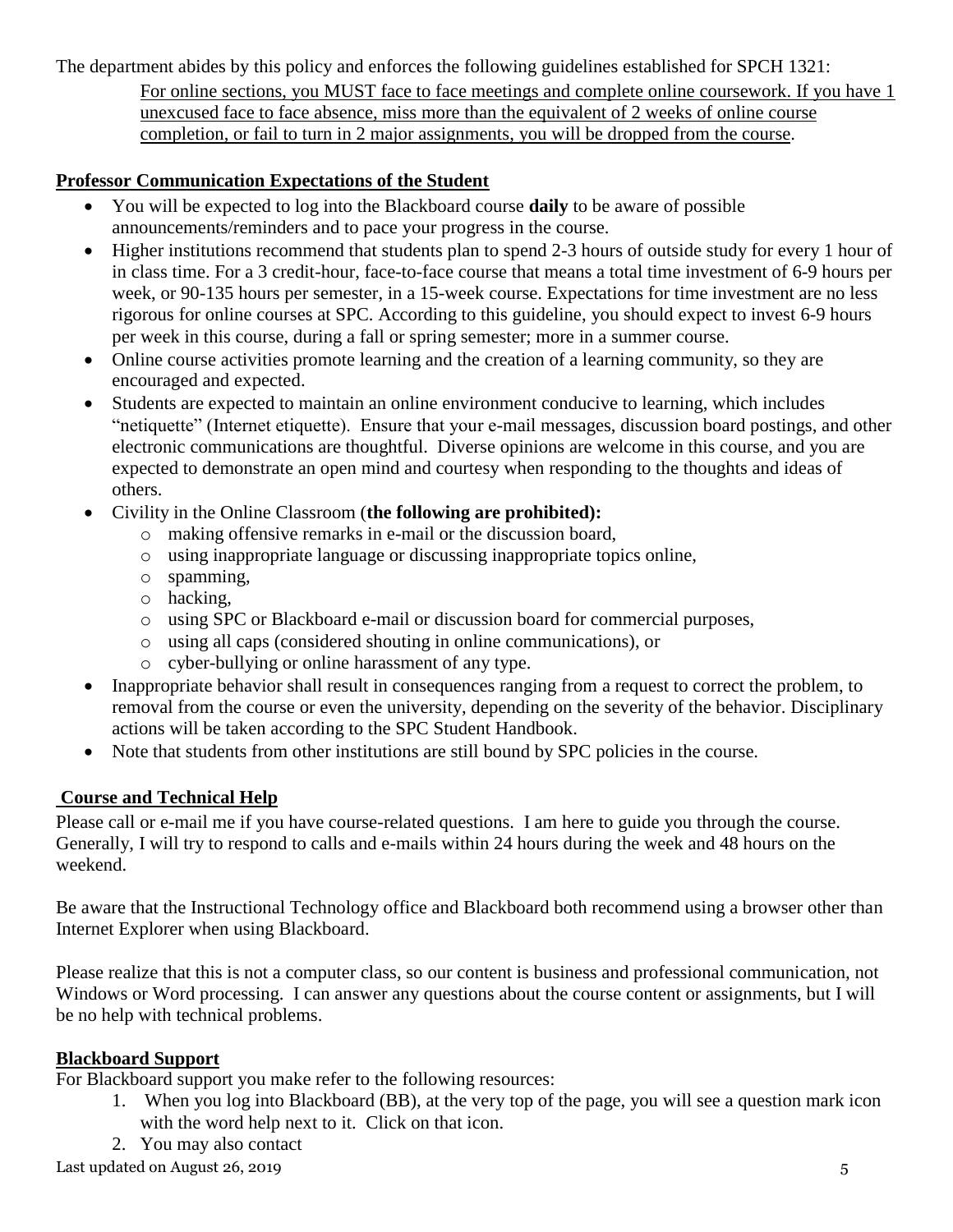The department abides by this policy and enforces the following guidelines established for SPCH 1321: For online sections, you MUST face to face meetings and complete online coursework. If you have 1 unexcused face to face absence, miss more than the equivalent of 2 weeks of online course completion, or fail to turn in 2 major assignments, you will be dropped from the course.

# **Professor Communication Expectations of the Student**

- You will be expected to log into the Blackboard course **daily** to be aware of possible announcements/reminders and to pace your progress in the course.
- Higher institutions recommend that students plan to spend 2-3 hours of outside study for every 1 hour of in class time. For a 3 credit-hour, face-to-face course that means a total time investment of 6-9 hours per week, or 90-135 hours per semester, in a 15-week course. Expectations for time investment are no less rigorous for online courses at SPC. According to this guideline, you should expect to invest 6-9 hours per week in this course, during a fall or spring semester; more in a summer course.
- Online course activities promote learning and the creation of a learning community, so they are encouraged and expected.
- Students are expected to maintain an online environment conducive to learning, which includes "netiquette" (Internet etiquette). Ensure that your e-mail messages, discussion board postings, and other electronic communications are thoughtful. Diverse opinions are welcome in this course, and you are expected to demonstrate an open mind and courtesy when responding to the thoughts and ideas of others.
- Civility in the Online Classroom (**the following are prohibited):** 
	- o making offensive remarks in e-mail or the discussion board,
	- o using inappropriate language or discussing inappropriate topics online,
	- o spamming,
	- o hacking,
	- o using SPC or Blackboard e-mail or discussion board for commercial purposes,
	- o using all caps (considered shouting in online communications), or
	- o cyber-bullying or online harassment of any type.
- Inappropriate behavior shall result in consequences ranging from a request to correct the problem, to removal from the course or even the university, depending on the severity of the behavior. Disciplinary actions will be taken according to the SPC Student Handbook.
- Note that students from other institutions are still bound by SPC policies in the course.

# **Course and Technical Help**

Please call or e-mail me if you have course-related questions. I am here to guide you through the course. Generally, I will try to respond to calls and e-mails within 24 hours during the week and 48 hours on the weekend.

Be aware that the Instructional Technology office and Blackboard both recommend using a browser other than Internet Explorer when using Blackboard.

Please realize that this is not a computer class, so our content is business and professional communication, not Windows or Word processing. I can answer any questions about the course content or assignments, but I will be no help with technical problems.

## **Blackboard Support**

For Blackboard support you make refer to the following resources:

- 1. When you log into Blackboard (BB), at the very top of the page, you will see a question mark icon with the word help next to it. Click on that icon.
- 2. You may also contact

Last updated on August 26, 2019 5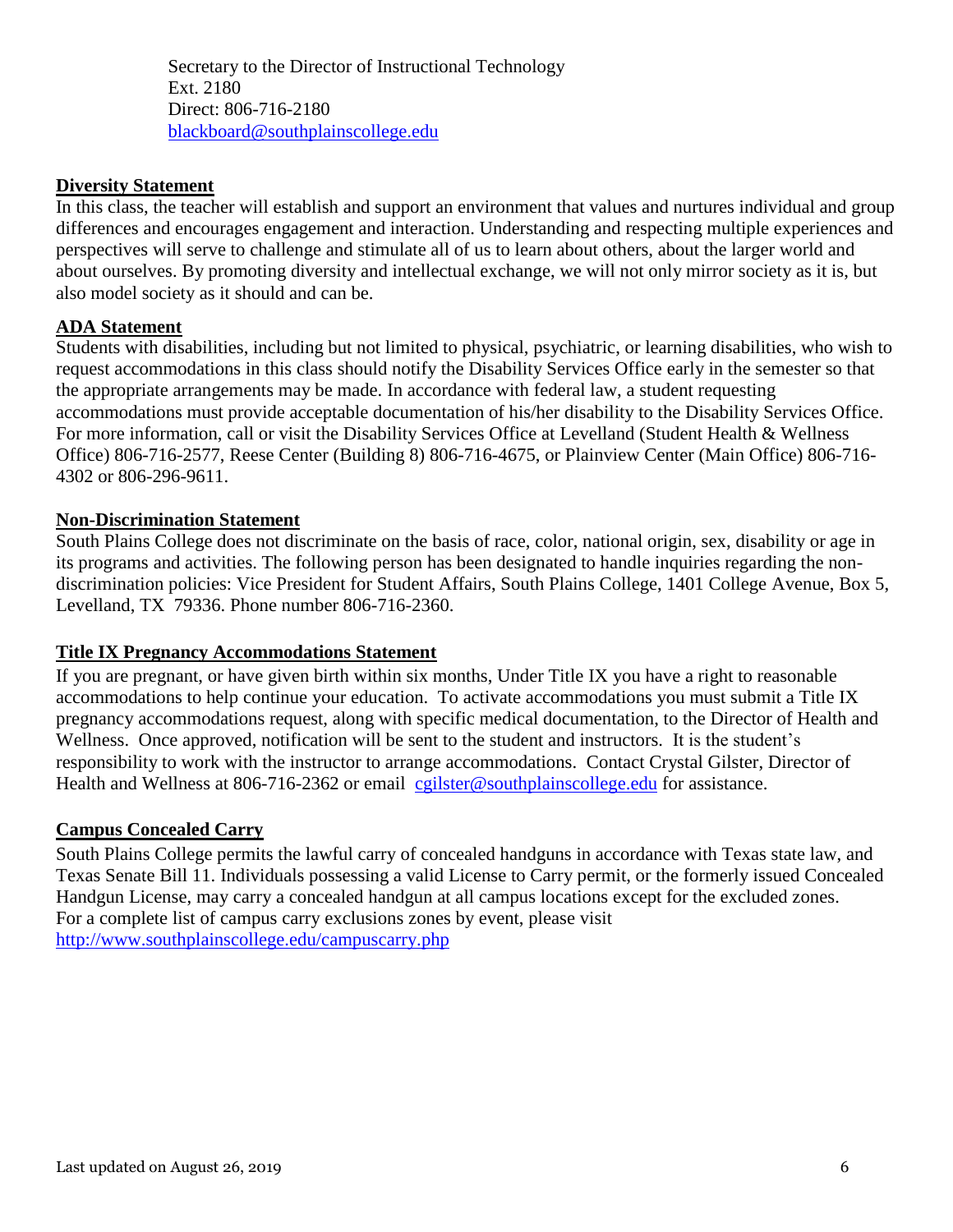Secretary to the Director of Instructional Technology Ext. 2180 Direct: 806-716-2180 [blackboard@southplainscollege.edu](mailto:jetucker@southplainscollege.edu)

#### **Diversity Statement**

In this class, the teacher will establish and support an environment that values and nurtures individual and group differences and encourages engagement and interaction. Understanding and respecting multiple experiences and perspectives will serve to challenge and stimulate all of us to learn about others, about the larger world and about ourselves. By promoting diversity and intellectual exchange, we will not only mirror society as it is, but also model society as it should and can be.

#### **ADA Statement**

Students with disabilities, including but not limited to physical, psychiatric, or learning disabilities, who wish to request accommodations in this class should notify the Disability Services Office early in the semester so that the appropriate arrangements may be made. In accordance with federal law, a student requesting accommodations must provide acceptable documentation of his/her disability to the Disability Services Office. For more information, call or visit the Disability Services Office at Levelland (Student Health & Wellness Office) 806-716-2577, Reese Center (Building 8) 806-716-4675, or Plainview Center (Main Office) 806-716- 4302 or 806-296-9611.

#### **Non-Discrimination Statement**

South Plains College does not discriminate on the basis of race, color, national origin, sex, disability or age in its programs and activities. The following person has been designated to handle inquiries regarding the nondiscrimination policies: Vice President for Student Affairs, South Plains College, 1401 College Avenue, Box 5, Levelland, TX 79336. Phone number 806-716-2360.

#### **Title IX Pregnancy Accommodations Statement**

If you are pregnant, or have given birth within six months, Under Title IX you have a right to reasonable accommodations to help continue your education. To activate accommodations you must submit a Title IX pregnancy accommodations request, along with specific medical documentation, to the Director of Health and Wellness. Once approved, notification will be sent to the student and instructors. It is the student's responsibility to work with the instructor to arrange accommodations. Contact Crystal Gilster, Director of Health and Wellness at 806-716-2362 or email [cgilster@southplainscollege.edu](mailto:cgilster@southplainscollege.edu) for assistance.

#### **Campus Concealed Carry**

South Plains College permits the lawful carry of concealed handguns in accordance with Texas state law, and Texas Senate Bill 11. Individuals possessing a valid License to Carry permit, or the formerly issued Concealed Handgun License, may carry a concealed handgun at all campus locations except for the excluded zones. For a complete list of campus carry exclusions zones by event, please visit <http://www.southplainscollege.edu/campuscarry.php>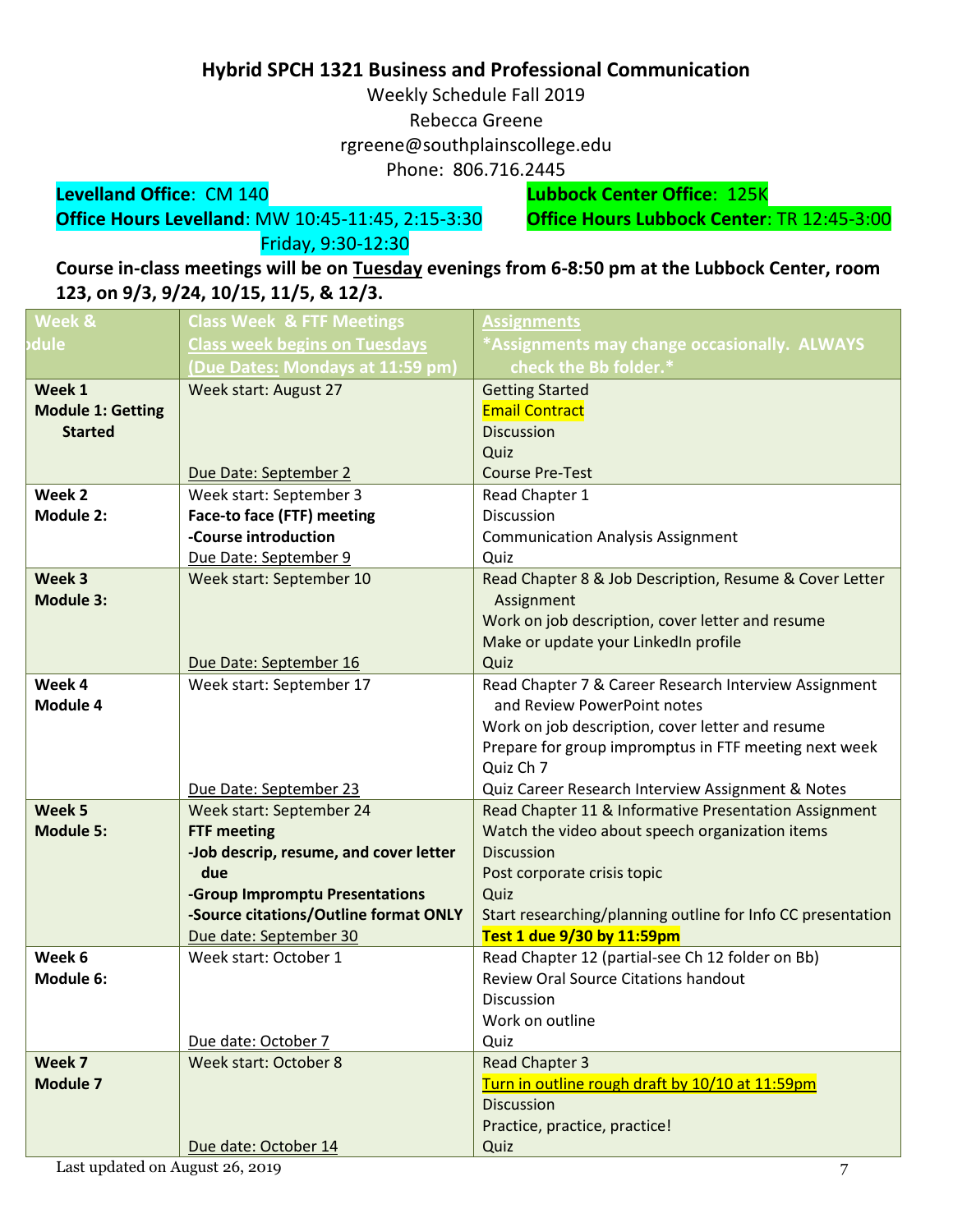# **Hybrid SPCH 1321 Business and Professional Communication**

Weekly Schedule Fall 2019

Rebecca Greene

rgreene@southplainscollege.edu

Phone: 806.716.2445

**Levelland Office**: CM 140 **Lubbock Center Office**: 125K **Office Hours Levelland: MW 10:45-11:45, 2:15-3:30** Friday, 9:30-12:30

**Course in-class meetings will be on Tuesday evenings from 6-8:50 pm at the Lubbock Center, room 123, on 9/3, 9/24, 10/15, 11/5, & 12/3.**

| Week &                   | <b>Class Week &amp; FTF Meetings</b>   | Assignments                                                 |
|--------------------------|----------------------------------------|-------------------------------------------------------------|
| dule                     | <b>Class week begins on Tuesdays</b>   | *Assignments may change occasionally. ALWAYS                |
|                          | (Due Dates: Mondays at 11:59 pm)       | check the Bb folder.*                                       |
| Week 1                   | Week start: August 27                  | <b>Getting Started</b>                                      |
| <b>Module 1: Getting</b> |                                        | <b>Email Contract</b>                                       |
| <b>Started</b>           |                                        | <b>Discussion</b>                                           |
|                          |                                        | Quiz                                                        |
|                          | Due Date: September 2                  | <b>Course Pre-Test</b>                                      |
| Week 2                   | Week start: September 3                | Read Chapter 1                                              |
| <b>Module 2:</b>         | <b>Face-to face (FTF) meeting</b>      | <b>Discussion</b>                                           |
|                          | -Course introduction                   | <b>Communication Analysis Assignment</b>                    |
|                          | Due Date: September 9                  | Quiz                                                        |
| Week 3                   | Week start: September 10               | Read Chapter 8 & Job Description, Resume & Cover Letter     |
| <b>Module 3:</b>         |                                        | Assignment                                                  |
|                          |                                        | Work on job description, cover letter and resume            |
|                          |                                        | Make or update your LinkedIn profile                        |
|                          | Due Date: September 16                 | Quiz                                                        |
| Week 4                   | Week start: September 17               | Read Chapter 7 & Career Research Interview Assignment       |
| Module 4                 |                                        | and Review PowerPoint notes                                 |
|                          |                                        | Work on job description, cover letter and resume            |
|                          |                                        | Prepare for group impromptus in FTF meeting next week       |
|                          |                                        | Quiz Ch 7                                                   |
|                          | Due Date: September 23                 | Quiz Career Research Interview Assignment & Notes           |
| Week 5                   | Week start: September 24               | Read Chapter 11 & Informative Presentation Assignment       |
| <b>Module 5:</b>         | <b>FTF meeting</b>                     | Watch the video about speech organization items             |
|                          | -Job descrip, resume, and cover letter | <b>Discussion</b>                                           |
|                          | due                                    | Post corporate crisis topic                                 |
|                          | -Group Impromptu Presentations         | Quiz                                                        |
|                          | -Source citations/Outline format ONLY  | Start researching/planning outline for Info CC presentation |
|                          | Due date: September 30                 | Test 1 due 9/30 by 11:59pm                                  |
| Week 6                   | Week start: October 1                  | Read Chapter 12 (partial-see Ch 12 folder on Bb)            |
| Module 6:                |                                        | <b>Review Oral Source Citations handout</b>                 |
|                          |                                        | Discussion                                                  |
|                          |                                        | Work on outline                                             |
|                          | Due date: October 7                    | Quiz                                                        |
| Week 7                   | <b>Week start: October 8</b>           | <b>Read Chapter 3</b>                                       |
| <b>Module 7</b>          |                                        | Turn in outline rough draft by 10/10 at 11:59pm             |
|                          |                                        | <b>Discussion</b>                                           |
|                          |                                        | Practice, practice, practice!                               |
|                          | Due date: October 14                   | Quiz                                                        |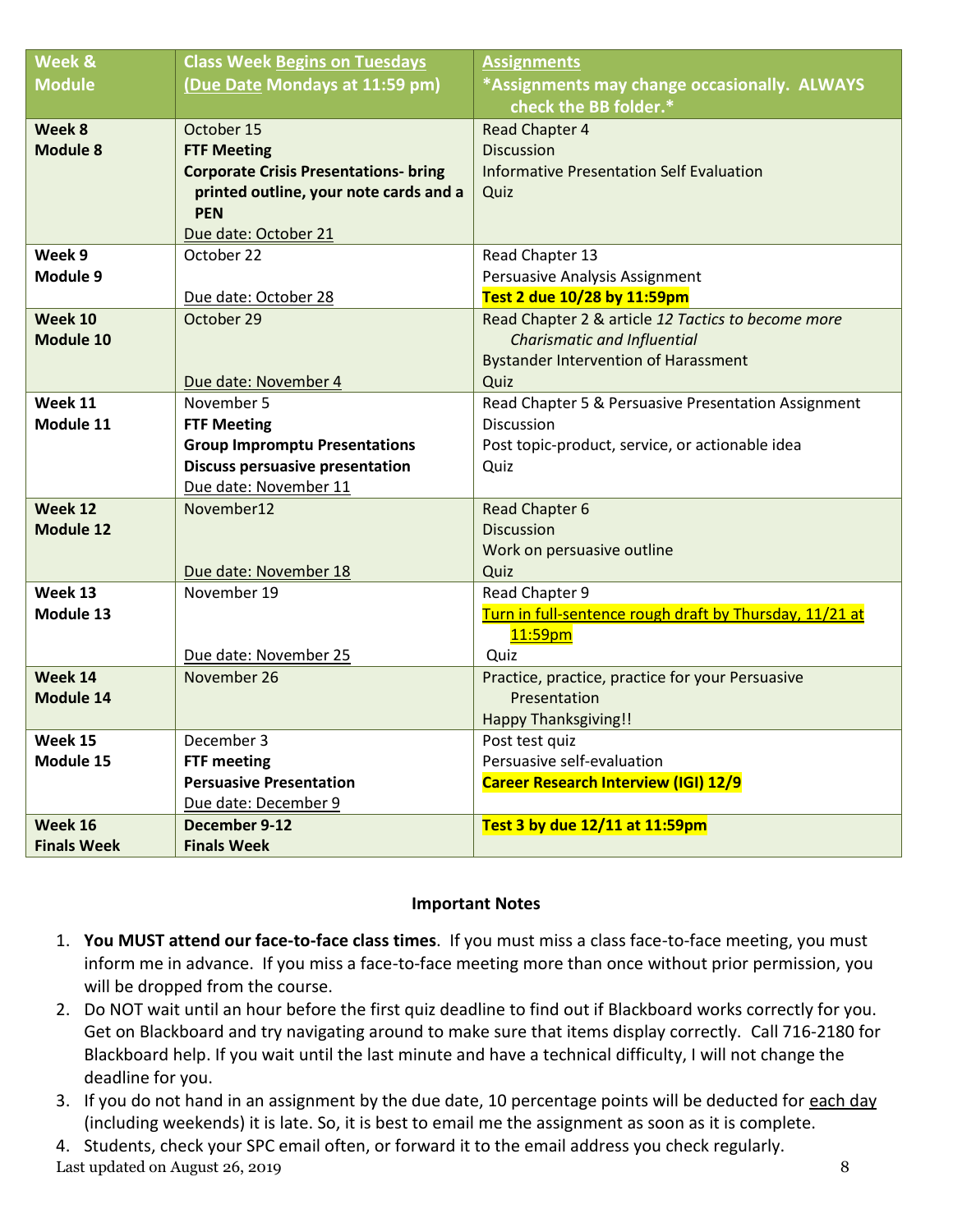| Week &               | <b>Class Week Begins on Tuesdays</b>         | <b>Assignments</b>                                               |
|----------------------|----------------------------------------------|------------------------------------------------------------------|
| <b>Module</b>        | (Due Date Mondays at 11:59 pm)               | *Assignments may change occasionally. ALWAYS                     |
|                      |                                              | check the BB folder.*                                            |
| Week 8               | October 15                                   | <b>Read Chapter 4</b>                                            |
| <b>Module 8</b>      | <b>FTF Meeting</b>                           | <b>Discussion</b>                                                |
|                      | <b>Corporate Crisis Presentations- bring</b> | <b>Informative Presentation Self Evaluation</b>                  |
|                      | printed outline, your note cards and a       | Quiz                                                             |
|                      | <b>PEN</b>                                   |                                                                  |
|                      | Due date: October 21                         |                                                                  |
| Week 9               | October 22                                   | Read Chapter 13                                                  |
| Module 9             |                                              | Persuasive Analysis Assignment                                   |
|                      | Due date: October 28                         | Test 2 due 10/28 by 11:59pm                                      |
| Week 10              | October 29                                   | Read Chapter 2 & article 12 Tactics to become more               |
| Module 10            |                                              | <b>Charismatic and Influential</b>                               |
|                      |                                              | <b>Bystander Intervention of Harassment</b>                      |
|                      | Due date: November 4                         | Quiz                                                             |
| Week 11              | November 5                                   | Read Chapter 5 & Persuasive Presentation Assignment              |
| Module 11            | <b>FTF Meeting</b>                           | Discussion                                                       |
|                      | <b>Group Impromptu Presentations</b>         | Post topic-product, service, or actionable idea                  |
|                      | <b>Discuss persuasive presentation</b>       | Quiz                                                             |
|                      | Due date: November 11                        |                                                                  |
| Week 12              | November12                                   | Read Chapter 6                                                   |
| <b>Module 12</b>     |                                              | <b>Discussion</b>                                                |
|                      |                                              | Work on persuasive outline                                       |
|                      | Due date: November 18                        | Quiz                                                             |
| Week 13              | November 19                                  | Read Chapter 9                                                   |
| Module 13            |                                              | Turn in full-sentence rough draft by Thursday, 11/21 at          |
|                      |                                              | 11:59 <sub>pm</sub>                                              |
| Week 14              | Due date: November 25<br>November 26         | Quiz                                                             |
|                      |                                              | Practice, practice, practice for your Persuasive<br>Presentation |
| Module 14            |                                              |                                                                  |
|                      | December 3                                   | <b>Happy Thanksgiving!!</b>                                      |
| Week 15<br>Module 15 | <b>FTF meeting</b>                           | Post test quiz<br>Persuasive self-evaluation                     |
|                      | <b>Persuasive Presentation</b>               | <b>Career Research Interview (IGI) 12/9</b>                      |
|                      |                                              |                                                                  |
| Week 16              | Due date: December 9<br>December 9-12        | Test 3 by due 12/11 at 11:59pm                                   |
|                      |                                              |                                                                  |
| <b>Finals Week</b>   | <b>Finals Week</b>                           |                                                                  |

#### **Important Notes**

- 1. **You MUST attend our face-to-face class times**. If you must miss a class face-to-face meeting, you must inform me in advance. If you miss a face-to-face meeting more than once without prior permission, you will be dropped from the course.
- 2. Do NOT wait until an hour before the first quiz deadline to find out if Blackboard works correctly for you. Get on Blackboard and try navigating around to make sure that items display correctly. Call 716-2180 for Blackboard help. If you wait until the last minute and have a technical difficulty, I will not change the deadline for you.
- 3. If you do not hand in an assignment by the due date, 10 percentage points will be deducted for each day (including weekends) it is late. So, it is best to email me the assignment as soon as it is complete.

4. Students, check your SPC email often, or forward it to the email address you check regularly.

Last updated on August 26, 2019 8